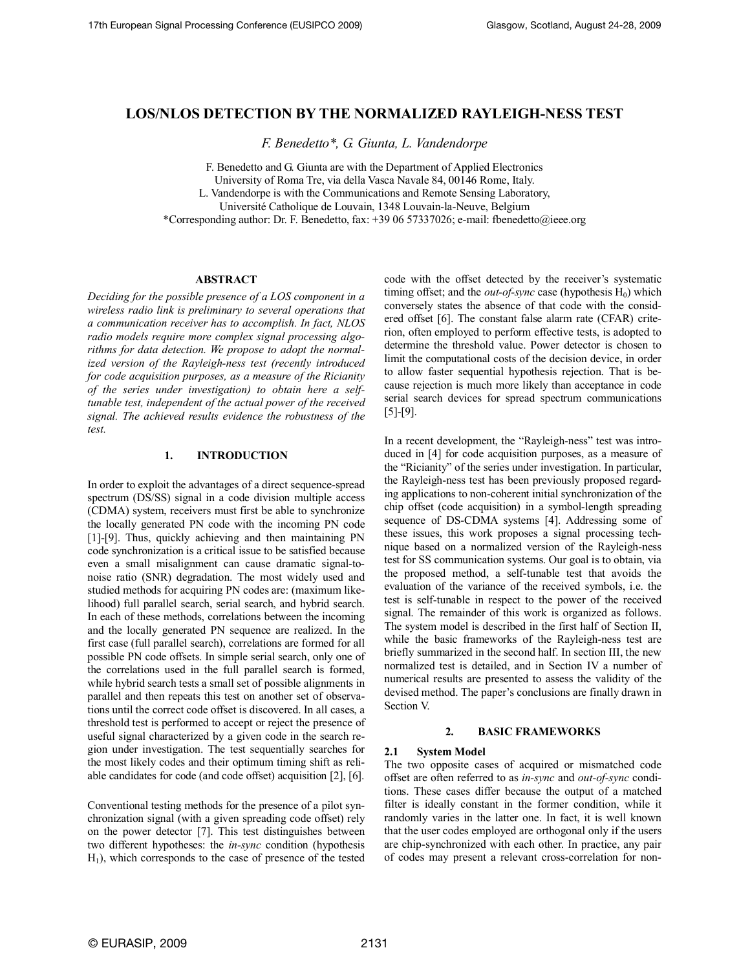# **LOS/NLOS DETECTION BY THE NORMALIZED RAYLEIGH-NESS TEST**

*F. Benedetto\*, G. Giunta, L. Vandendorpe*

F. Benedetto and G. Giunta are with the Department of Applied Electronics

University of Roma Tre, via della Vasca Navale 84, 00146 Rome, Italy.

L. Vandendorpe is with the Communications and Remote Sensing Laboratory,

Université Catholique de Louvain, 1348 Louvain-la-Neuve, Belgium

\*Corresponding author: Dr. F. Benedetto, fax: +39 06 57337026; e-mail: fbenedetto@ieee.org

## **ABSTRACT**

*Deciding for the possible presence of a LOS component in a wireless radio link is preliminary to several operations that a communication receiver has to accomplish. In fact, NLOS radio models require more complex signal processing algorithms for data detection. We propose to adopt the normalized version of the Rayleigh-ness test (recently introduced for code acquisition purposes, as a measure of the Ricianity of the series under investigation) to obtain here a selftunable test, independent of the actual power of the received signal. The achieved results evidence the robustness of the test.*

# **1. INTRODUCTION**

In order to exploit the advantages of a direct sequence-spread spectrum (DS/SS) signal in a code division multiple access (CDMA) system, receivers must first be able to synchronize the locally generated PN code with the incoming PN code [1]-[9]. Thus, quickly achieving and then maintaining PN code synchronization is a critical issue to be satisfied because even a small misalignment can cause dramatic signal-tonoise ratio (SNR) degradation. The most widely used and studied methods for acquiring PN codes are: (maximum likelihood) full parallel search, serial search, and hybrid search. In each of these methods, correlations between the incoming and the locally generated PN sequence are realized. In the first case (full parallel search), correlations are formed for all possible PN code offsets. In simple serial search, only one of the correlations used in the full parallel search is formed, while hybrid search tests a small set of possible alignments in parallel and then repeats this test on another set of observations until the correct code offset is discovered. In all cases, a threshold test is performed to accept or reject the presence of useful signal characterized by a given code in the search region under investigation. The test sequentially searches for the most likely codes and their optimum timing shift as reliable candidates for code (and code offset) acquisition [2], [6].

Conventional testing methods for the presence of a pilot synchronization signal (with a given spreading code offset) rely on the power detector [7]. This test distinguishes between two different hypotheses: the *in-sync* condition (hypothesis  $H_1$ ), which corresponds to the case of presence of the tested

code with the offset detected by the receiver's systematic timing offset; and the *out-of-sync* case (hypothesis  $H_0$ ) which conversely states the absence of that code with the considered offset [6]. The constant false alarm rate (CFAR) criterion, often employed to perform effective tests, is adopted to determine the threshold value. Power detector is chosen to limit the computational costs of the decision device, in order to allow faster sequential hypothesis rejection. That is because rejection is much more likely than acceptance in code serial search devices for spread spectrum communications [5]-[9].

In a recent development, the "Rayleigh-ness" test was introduced in [4] for code acquisition purposes, as a measure of the "Ricianity" of the series under investigation. In particular, the Rayleigh-ness test has been previously proposed regarding applications to non-coherent initial synchronization of the chip offset (code acquisition) in a symbol-length spreading sequence of DS-CDMA systems [4]. Addressing some of these issues, this work proposes a signal processing technique based on a normalized version of the Rayleigh-ness test for SS communication systems. Our goal is to obtain, via the proposed method, a self-tunable test that avoids the evaluation of the variance of the received symbols, i.e. the test is self-tunable in respect to the power of the received signal. The remainder of this work is organized as follows. The system model is described in the first half of Section II, while the basic frameworks of the Rayleigh-ness test are briefly summarized in the second half. In section III, the new normalized test is detailed, and in Section IV a number of numerical results are presented to assess the validity of the devised method. The paper's conclusions are finally drawn in Section V.

## **2. BASIC FRAMEWORKS**

# **2.1 System Model**

The two opposite cases of acquired or mismatched code offset are often referred to as *in-sync* and *out-of-sync* conditions. These cases differ because the output of a matched filter is ideally constant in the former condition, while it randomly varies in the latter one. In fact, it is well known that the user codes employed are orthogonal only if the users are chip-synchronized with each other. In practice, any pair of codes may present a relevant cross-correlation for non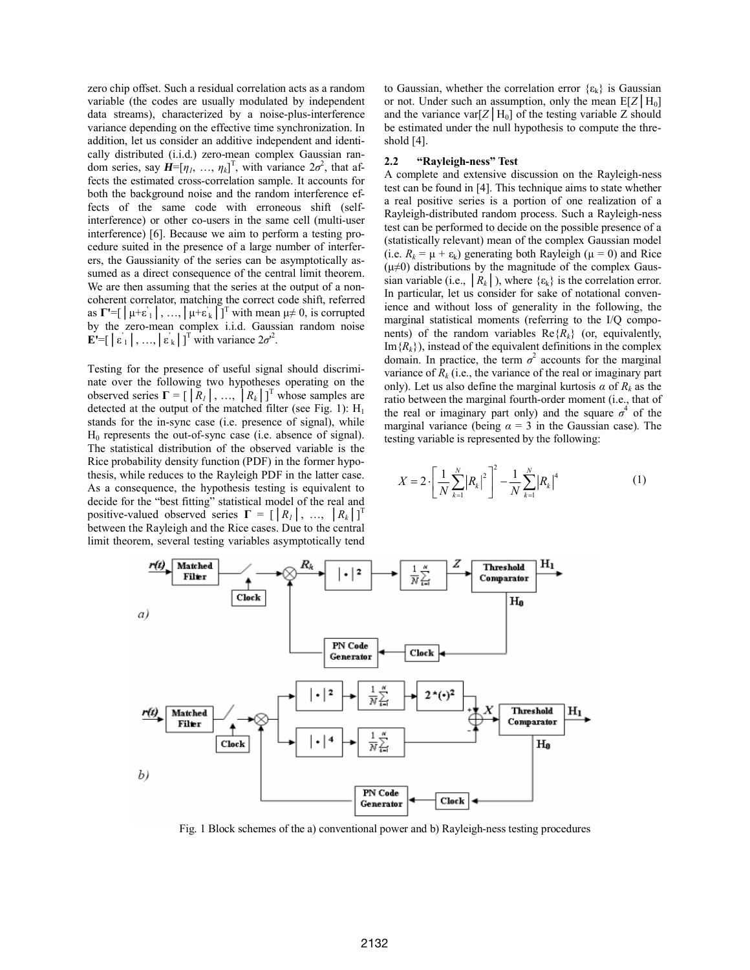zero chip offset. Such a residual correlation acts as a random variable (the codes are usually modulated by independent data streams), characterized by a noise-plus-interference variance depending on the effective time synchronization. In addition, let us consider an additive independent and identically distributed (i.i.d.) zero-mean complex Gaussian random series, say  $\mathbf{H} = [\eta_1, \dots, \eta_k]^T$ , with variance  $2\sigma^2$ , that affects the estimated cross-correlation sample. It accounts for both the background noise and the random interference effects of the same code with erroneous shift (selfinterference) or other co-users in the same cell (multi-user interference) [6]. Because we aim to perform a testing procedure suited in the presence of a large number of interferers, the Gaussianity of the series can be asymptotically assumed as a direct consequence of the central limit theorem. We are then assuming that the series at the output of a noncoherent correlator, matching the correct code shift, referred as  $\Gamma' = [\mu + \varepsilon] \, , \, ..., \, \mu + \varepsilon_k \, \Gamma \,$ <sup>T</sup> with mean  $\mu \neq 0$ , is corrupted by the zero-mean complex i.i.d. Gaussian random noise **E'**=[ $|\varepsilon_1|$ , …,  $|\varepsilon_k|$ ]<sup>T</sup> with variance  $2\sigma^2$ .

Testing for the presence of useful signal should discriminate over the following two hypotheses operating on the observed series  $\Gamma = [\begin{bmatrix} R_1 \end{bmatrix}, ..., R_k]^\text{T}$  whose samples are detected at the output of the matched filter (see Fig. 1):  $H_1$ stands for the in-sync case (i.e. presence of signal), while H0 represents the out-of-sync case (i.e. absence of signal). The statistical distribution of the observed variable is the Rice probability density function (PDF) in the former hypothesis, while reduces to the Rayleigh PDF in the latter case. As a consequence, the hypothesis testing is equivalent to decide for the "best fitting" statistical model of the real and positive-valued observed series  $\Gamma = \left[ \begin{array}{ccc} R_1 \\ R_2 \end{array} \right], \ldots, \left[ \begin{array}{ccc} R_k \\ R_k \end{array} \right]^T$ between the Rayleigh and the Rice cases. Due to the central limit theorem, several testing variables asymptotically tend to Gaussian, whether the correlation error  $\{\varepsilon_k\}$  is Gaussian or not. Under such an assumption, only the mean  $E[Z|H_0]$ and the variance var $[Z|H_0]$  of the testing variable Z should be estimated under the null hypothesis to compute the threshold [4].

#### **2.2 "Rayleigh-ness" Test**

A complete and extensive discussion on the Rayleigh-ness test can be found in [4]. This technique aims to state whether a real positive series is a portion of one realization of a Rayleigh-distributed random process. Such a Rayleigh-ness test can be performed to decide on the possible presence of a (statistically relevant) mean of the complex Gaussian model (i.e.  $R_k = \mu + \varepsilon_k$ ) generating both Rayleigh ( $\mu = 0$ ) and Rice  $(\mu \neq 0)$  distributions by the magnitude of the complex Gaussian variable (i.e.,  $|R_k|$ ), where  $\{\varepsilon_k\}$  is the correlation error. In particular, let us consider for sake of notational convenience and without loss of generality in the following, the marginal statistical moments (referring to the I/Q components) of the random variables  $\text{Re}\{R_k\}$  (or, equivalently,  $Im{R_k}$ ), instead of the equivalent definitions in the complex domain. In practice, the term  $\sigma^2$  accounts for the marginal variance of  $R_k$  (i.e., the variance of the real or imaginary part only). Let us also define the marginal kurtosis  $\alpha$  of  $R_k$  as the ratio between the marginal fourth-order moment (i.e., that of the real or imaginary part only) and the square  $\sigma^4$  of the marginal variance (being  $\alpha = 3$  in the Gaussian case). The testing variable is represented by the following:

$$
X = 2 \cdot \left[ \frac{1}{N} \sum_{k=1}^{N} |R_k|^2 \right]^2 - \frac{1}{N} \sum_{k=1}^{N} |R_k|^4 \tag{1}
$$



Fig. 1 Block schemes of the a) conventional power and b) Rayleigh-ness testing procedures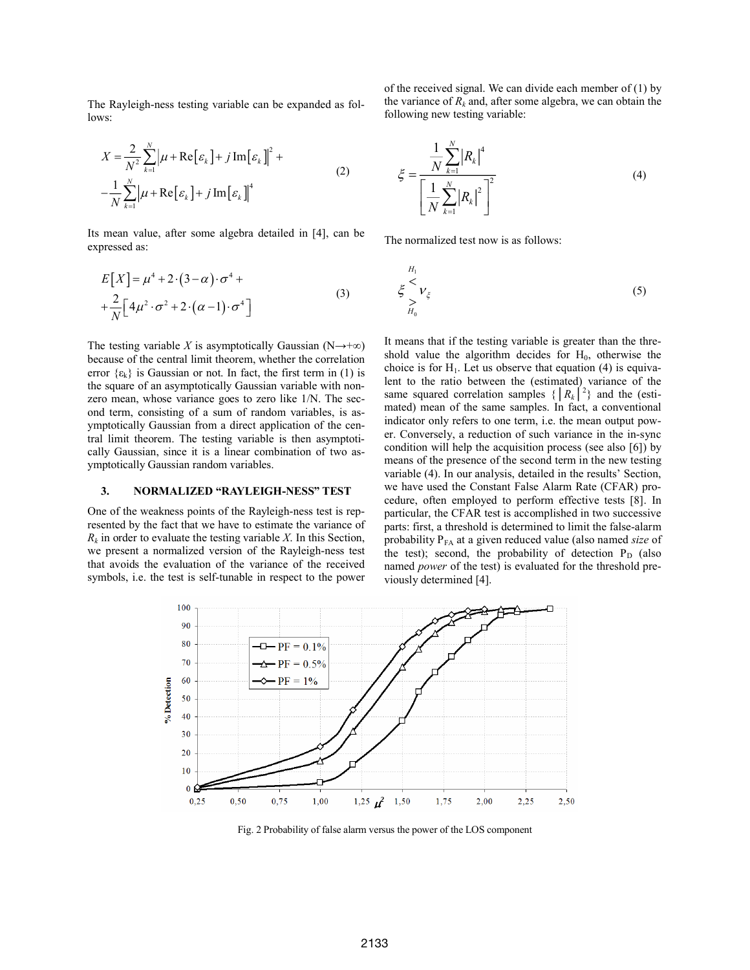The Rayleigh-ness testing variable can be expanded as follows:

$$
X = \frac{2}{N^2} \sum_{k=1}^{N} \left| \mu + \text{Re} \left[ \varepsilon_k \right] + j \text{Im} \left[ \varepsilon_k \right] \right|^2 +
$$
  

$$
-\frac{1}{N} \sum_{k=1}^{N} \left| \mu + \text{Re} \left[ \varepsilon_k \right] + j \text{Im} \left[ \varepsilon_k \right] \right|^4 \tag{2}
$$

Its mean value, after some algebra detailed in [4], can be expressed as:

$$
E[X] = \mu^4 + 2 \cdot (3 - \alpha) \cdot \sigma^4 +
$$
  
+ 
$$
\frac{2}{N} \Big[ 4\mu^2 \cdot \sigma^2 + 2 \cdot (\alpha - 1) \cdot \sigma^4 \Big]
$$
 (3)

The testing variable *X* is asymptotically Gaussian (N $\rightarrow +\infty$ ) because of the central limit theorem, whether the correlation error  $\{\epsilon_k\}$  is Gaussian or not. In fact, the first term in (1) is the square of an asymptotically Gaussian variable with nonzero mean, whose variance goes to zero like 1/N. The second term, consisting of a sum of random variables, is asymptotically Gaussian from a direct application of the central limit theorem. The testing variable is then asymptotically Gaussian, since it is a linear combination of two asymptotically Gaussian random variables.

## **3. NORMALIZED "RAYLEIGH-NESS" TEST**

One of the weakness points of the Rayleigh-ness test is represented by the fact that we have to estimate the variance of  $R_k$  in order to evaluate the testing variable *X*. In this Section, we present a normalized version of the Rayleigh-ness test that avoids the evaluation of the variance of the received symbols, i.e. the test is self-tunable in respect to the power

of the received signal. We can divide each member of (1) by the variance of  $R_k$  and, after some algebra, we can obtain the following new testing variable:

$$
\xi = \frac{\frac{1}{N} \sum_{k=1}^{N} |R_k|^4}{\left[\frac{1}{N} \sum_{k=1}^{N} |R_k|^2\right]^2}
$$
(4)

The normalized test now is as follows:

$$
\begin{array}{c}\nH_1 \\
\xi & V_{\xi} \\
\sum_{H_0} \n\end{array} \n\tag{5}
$$

It means that if the testing variable is greater than the threshold value the algorithm decides for  $H_0$ , otherwise the choice is for  $H_1$ . Let us observe that equation (4) is equivalent to the ratio between the (estimated) variance of the same squared correlation samples  $\{ |R_k|^2 \}$  and the (estimated) mean of the same samples. In fact, a conventional indicator only refers to one term, i.e. the mean output power. Conversely, a reduction of such variance in the in-sync condition will help the acquisition process (see also [6]) by means of the presence of the second term in the new testing variable (4). In our analysis, detailed in the results' Section, we have used the Constant False Alarm Rate (CFAR) procedure, often employed to perform effective tests [8]. In particular, the CFAR test is accomplished in two successive parts: first, a threshold is determined to limit the false-alarm probability P<sub>FA</sub> at a given reduced value (also named *size* of the test); second, the probability of detection  $P_D$  (also named *power* of the test) is evaluated for the threshold previously determined [4].



Fig. 2 Probability of false alarm versus the power of the LOS component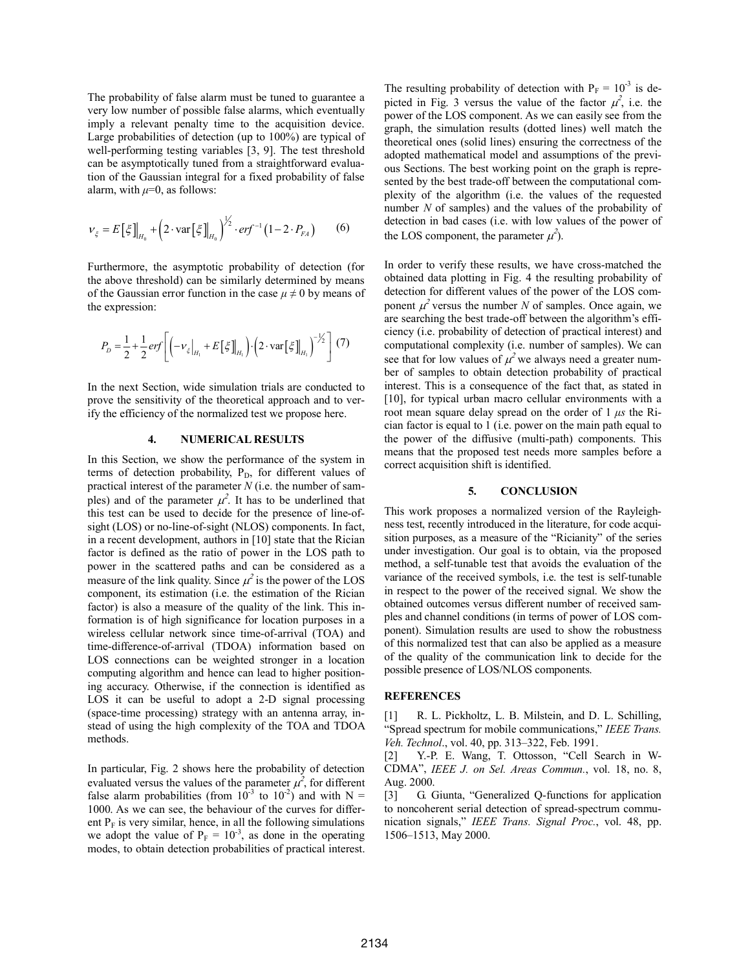The probability of false alarm must be tuned to guarantee a very low number of possible false alarms, which eventually imply a relevant penalty time to the acquisition device. Large probabilities of detection (up to 100%) are typical of well-performing testing variables [3, 9]. The test threshold can be asymptotically tuned from a straightforward evaluation of the Gaussian integral for a fixed probability of false alarm, with  $\mu=0$ , as follows:

$$
v_{\xi} = E[\xi]_{H_0} + (2 \cdot \text{var}[\xi]_{H_0})^{\frac{1}{2}} \cdot erf^{-1}(1 - 2 \cdot P_{FA}) \tag{6}
$$

Furthermore, the asymptotic probability of detection (for the above threshold) can be similarly determined by means of the Gaussian error function in the case  $\mu \neq 0$  by means of the expression:

$$
P_D = \frac{1}{2} + \frac{1}{2} erf \left[ \left( -v_\xi \Big|_{H_1} + E\left[\xi\right]_{H_1} \right) \cdot \left( 2 \cdot \text{var}\left[\xi\right]_{H_1} \right)^{-\frac{1}{2}} \right] (7)
$$

In the next Section, wide simulation trials are conducted to prove the sensitivity of the theoretical approach and to verify the efficiency of the normalized test we propose here.

#### **4. NUMERICAL RESULTS**

In this Section, we show the performance of the system in terms of detection probability,  $P_D$ , for different values of practical interest of the parameter *N* (i.e. the number of samples) and of the parameter  $\mu^2$ . It has to be underlined that this test can be used to decide for the presence of line-ofsight (LOS) or no-line-of-sight (NLOS) components. In fact, in a recent development, authors in [10] state that the Rician factor is defined as the ratio of power in the LOS path to power in the scattered paths and can be considered as a measure of the link quality. Since  $\mu^2$  is the power of the LOS component, its estimation (i.e. the estimation of the Rician factor) is also a measure of the quality of the link. This information is of high significance for location purposes in a wireless cellular network since time-of-arrival (TOA) and time-difference-of-arrival (TDOA) information based on LOS connections can be weighted stronger in a location computing algorithm and hence can lead to higher positioning accuracy. Otherwise, if the connection is identified as LOS it can be useful to adopt a 2-D signal processing (space-time processing) strategy with an antenna array, instead of using the high complexity of the TOA and TDOA methods.

In particular, Fig. 2 shows here the probability of detection evaluated versus the values of the parameter  $\mu^2$ , for different false alarm probabilities (from  $10^{-3}$  to  $10^{-2}$ ) and with N = 1000. As we can see, the behaviour of the curves for different  $P_F$  is very similar, hence, in all the following simulations we adopt the value of  $P_F = 10^{-3}$ , as done in the operating modes, to obtain detection probabilities of practical interest.

The resulting probability of detection with  $P_F = 10^{-3}$  is depicted in Fig. 3 versus the value of the factor  $\mu^2$ , i.e. the power of the LOS component. As we can easily see from the graph, the simulation results (dotted lines) well match the theoretical ones (solid lines) ensuring the correctness of the adopted mathematical model and assumptions of the previous Sections. The best working point on the graph is represented by the best trade-off between the computational complexity of the algorithm (i.e. the values of the requested number *N* of samples) and the values of the probability of detection in bad cases (i.e. with low values of the power of the LOS component, the parameter  $\mu^2$ ).

In order to verify these results, we have cross-matched the obtained data plotting in Fig. 4 the resulting probability of detection for different values of the power of the LOS component  $\mu^2$  versus the number *N* of samples. Once again, we are searching the best trade-off between the algorithm's efficiency (i.e. probability of detection of practical interest) and computational complexity (i.e. number of samples). We can see that for low values of  $\mu^2$  we always need a greater number of samples to obtain detection probability of practical interest. This is a consequence of the fact that, as stated in [10], for typical urban macro cellular environments with a root mean square delay spread on the order of 1 *μs* the Rician factor is equal to 1 (i.e. power on the main path equal to the power of the diffusive (multi-path) components. This means that the proposed test needs more samples before a correct acquisition shift is identified.

#### **5. CONCLUSION**

This work proposes a normalized version of the Rayleighness test, recently introduced in the literature, for code acquisition purposes, as a measure of the "Ricianity" of the series under investigation. Our goal is to obtain, via the proposed method, a self-tunable test that avoids the evaluation of the variance of the received symbols, i.e. the test is self-tunable in respect to the power of the received signal. We show the obtained outcomes versus different number of received samples and channel conditions (in terms of power of LOS component). Simulation results are used to show the robustness of this normalized test that can also be applied as a measure of the quality of the communication link to decide for the possible presence of LOS/NLOS components.

#### **REFERENCES**

[1] R. L. Pickholtz, L. B. Milstein, and D. L. Schilling, "Spread spectrum for mobile communications," *IEEE Trans. Veh. Technol*., vol. 40, pp. 313–322, Feb. 1991.

[2] Y.-P. E. Wang, T. Ottosson, "Cell Search in W-CDMA", *IEEE J. on Sel. Areas Commun.*, vol. 18, no. 8, Aug. 2000.

[3] G. Giunta, "Generalized Q-functions for application to noncoherent serial detection of spread-spectrum communication signals," *IEEE Trans. Signal Proc.*, vol. 48, pp. 1506–1513, May 2000.